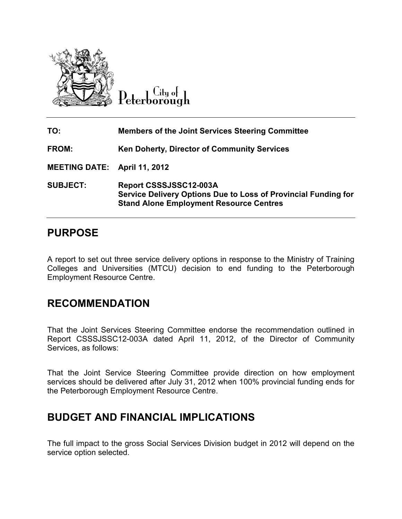

City of Peterborough

| TO:                                 | <b>Members of the Joint Services Steering Committee</b>                                                                                    |
|-------------------------------------|--------------------------------------------------------------------------------------------------------------------------------------------|
| FROM:                               | <b>Ken Doherty, Director of Community Services</b>                                                                                         |
| <b>MEETING DATE: April 11, 2012</b> |                                                                                                                                            |
| <b>SUBJECT:</b>                     | Report CSSSJSSC12-003A<br>Service Delivery Options Due to Loss of Provincial Funding for<br><b>Stand Alone Employment Resource Centres</b> |

## **PURPOSE**

A report to set out three service delivery options in response to the Ministry of Training Colleges and Universities (MTCU) decision to end funding to the Peterborough Employment Resource Centre.

## **RECOMMENDATION**

That the Joint Services Steering Committee endorse the recommendation outlined in Colleges and Universities (MTCU) decision to end funding to the Peterborough<br>Employment Resource Centre.<br>**RECOMMENDATION**<br>That the Joint Services Steering Committee endorse the recommendation outlined in<br>Report CSSSJSSC12-Services, as follows:

That the Joint Service Steering Committee provide direction on how employment That the Joint Service Steering Committee provide direction on how employment<br>services should be delivered after July 31, 2012 when 100% provincial funding ends for the Peterborough Employment Resource Centre.

# **BUDGET AND FINANCIAL IMPLICATIONS**

The full impact to the gross Social Services Division budget in 2012 will depend on the service option selected.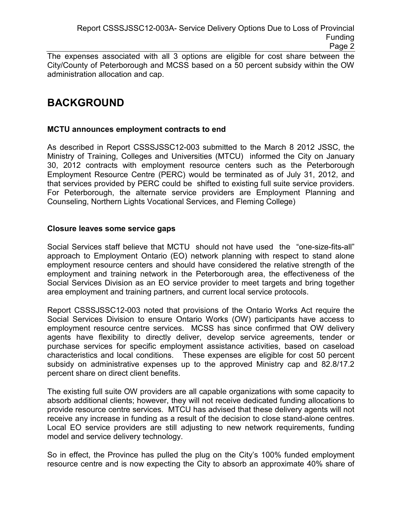Page 2

The expenses associated with all 3 options are eligible for cost share between the City/County of Peterborough and MCSS based on a 50 percent subsidy within the OW administration allocation and cap.

## **BACKGROUND**

### **MCTU announces employment contracts to end**

As described in Report CSSSJSSC12-003 submitted to the March 8 2012 JSSC, the Ministry of Training, Colleges and Universities (MTCU) informed the City on January 30, 2012 contracts with employment resource centers such as the Peterborough Employment Resource Centre (PERC) would be terminated as of July 31, 2012, and that services provided by PERC could be shifted to existing full suite service providers. For Peterborough, the alternate service providers are Employment Planning and Counseling, Northern Lights Vocational Services, and Fleming College)

## **Closure leaves some service gaps**

Social Services staff believe that MCTU should not have used the "one-size-fits-all" approach to Employment Ontario (EO) network planning with respect to stand alone employment resource centers and should have considered the relative strength of the employment and training network in the Peterborough area, the effectiveness of the Social Services Division as an EO service provider to meet targets and bring together area employment and training partners, and current local service protocols.

Report CSSSJSSC12-003 noted that provisions of the Ontario Works Act require the Social Services Division to ensure Ontario Works (OW) participants have access to employment resource centre services. MCSS has since confirmed that OW delivery agents have flexibility to directly deliver, develop service agreements, tender or purchase services for specific employment assistance activities, based on caseload characteristics and local conditions. These expenses are eligible for cost 50 percent subsidy on administrative expenses up to the approved Ministry cap and 82.8/17.2 percent share on direct client benefits.

The existing full suite OW providers are all capable organizations with some capacity to absorb additional clients; however, they will not receive dedicated funding allocations to provide resource centre services. MTCU has advised that these delivery agents will not receive any increase in funding as a result of the decision to close stand-alone centres. Local EO service providers are still adjusting to new network requirements, funding model and service delivery technology.

So in effect, the Province has pulled the plug on the City's 100% funded employment resource centre and is now expecting the City to absorb an approximate 40% share of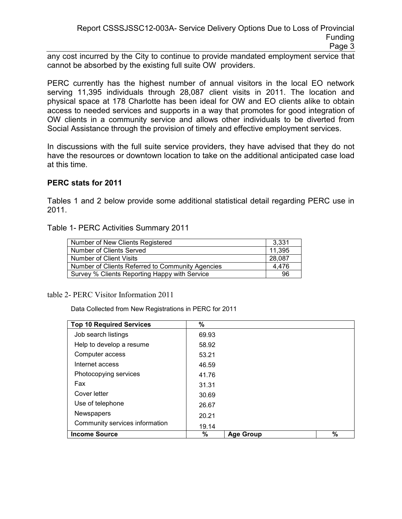any cost incurred by the City to continue to provide mandated employment service that cannot be absorbed by the existing full suite OW providers.

PERC currently has the highest number of annual visitors in the local EO network serving 11,395 individuals through 28,087 client visits in 2011. The location and physical space at 178 Charlotte has been ideal for OW and EO clients alike to obtain access to needed services and supports in a way that promotes for good integration of OW clients in a community service and allows other individuals to be diverted from Social Assistance through the provision of timely and effective employment services.

In discussions with the full suite service providers, they have advised that they do not have the resources or downtown location to take on the additional anticipated case load at this time.

## **PERC stats for 2011**

Tables 1 and 2 below provide some additional statistical detail regarding PERC use in 2011.

#### Table 1- PERC Activities Summary 2011

| Number of New Clients Registered                 | 3.331  |
|--------------------------------------------------|--------|
| Number of Clients Served                         | 11,395 |
| Number of Client Visits                          | 28,087 |
| Number of Clients Referred to Community Agencies | 4.476  |
| Survey % Clients Reporting Happy with Service    | 96     |

table 2- PERC Visitor Information 2011

Data Collected from New Registrations in PERC for 2011

| <b>Top 10 Required Services</b> | %     |                  |   |
|---------------------------------|-------|------------------|---|
| Job search listings             | 69.93 |                  |   |
| Help to develop a resume        | 58.92 |                  |   |
| Computer access                 | 53.21 |                  |   |
| Internet access                 | 46.59 |                  |   |
| Photocopying services           | 41.76 |                  |   |
| Fax                             | 31.31 |                  |   |
| Cover letter                    | 30.69 |                  |   |
| Use of telephone                | 26.67 |                  |   |
| Newspapers                      | 20.21 |                  |   |
| Community services information  | 19.14 |                  |   |
| <b>Income Source</b>            | $\%$  | <b>Age Group</b> | % |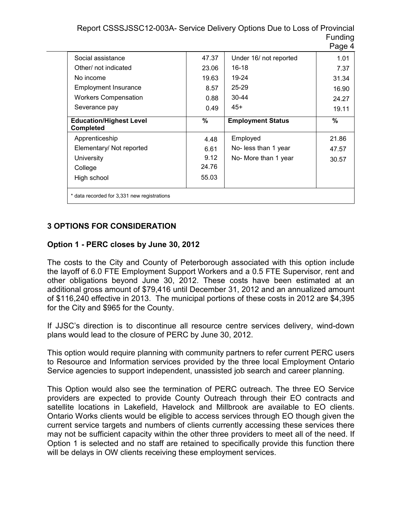Report CSSSJSSC12-003A- Service Delivery Options Due to Loss of Provincial Funding Daga 4

|                                                    |       |                          | ayu – |  |  |  |
|----------------------------------------------------|-------|--------------------------|-------|--|--|--|
| Social assistance                                  | 47.37 | Under 16/ not reported   | 1.01  |  |  |  |
| Other/ not indicated                               | 23.06 | 16-18                    | 7.37  |  |  |  |
| No income                                          | 19.63 | 19-24                    | 31.34 |  |  |  |
| Employment Insurance                               | 8.57  | $25 - 29$                | 16.90 |  |  |  |
| <b>Workers Compensation</b>                        | 0.88  | $30 - 44$                | 24.27 |  |  |  |
| Severance pay                                      | 0.49  | $45+$                    | 19.11 |  |  |  |
| <b>Education/Highest Level</b><br><b>Completed</b> | %     | <b>Employment Status</b> | $\%$  |  |  |  |
| Apprenticeship                                     | 4.48  | Employed                 | 21.86 |  |  |  |
| Elementary/ Not reported                           | 6.61  | No- less than 1 year     | 47.57 |  |  |  |
| <b>University</b>                                  | 9.12  | No- More than 1 year     | 30.57 |  |  |  |
| College                                            | 24.76 |                          |       |  |  |  |
| High school                                        | 55.03 |                          |       |  |  |  |
| * data recorded for 3,331 new registrations        |       |                          |       |  |  |  |

## **3 OPTIONS FOR CONSIDERATION**

## **Option 1 - PERC closes by June 30, 2012**

The costs to the City and County of Peterborough associated with this option include the layoff of 6.0 FTE Employment Support Workers and a 0.5 FTE Supervisor, rent and other obligations beyond June 30, 2012. These costs have been estimated at an additional gross amount of \$79,416 until December 31, 2012 and an annualized amount of \$116,240 effective in 2013. The municipal portions of these costs in 2012 are \$4,395 for the City and \$965 for the County.

If JJSC's direction is to discontinue all resource centre services delivery, wind-down plans would lead to the closure of PERC by June 30, 2012.

This option would require planning with community partners to refer current PERC users to Resource and Information services provided by the three local Employment Ontario Service agencies to support independent, unassisted job search and career planning.

This Option would also see the termination of PERC outreach. The three EO Service providers are expected to provide County Outreach through their EO contracts and satellite locations in Lakefield, Havelock and Millbrook are available to EO clients. Ontario Works clients would be eligible to access services through EO though given the current service targets and numbers of clients currently accessing these services there may not be sufficient capacity within the other three providers to meet all of the need. If Option 1 is selected and no staff are retained to specifically provide this function there will be delays in OW clients receiving these employment services.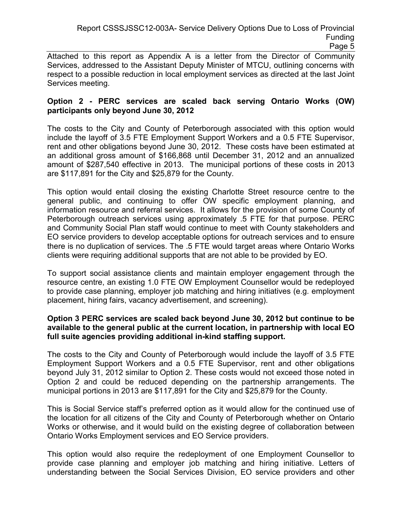Page 5

Attached to this report as Appendix A is a letter from the Director of Community Services, addressed to the Assistant Deputy Minister of MTCU, outlining concerns with respect to a possible reduction in local employment services as directed at the last Joint Services meeting.

## **Option 2 - PERC services are scaled back serving Ontario Works (OW) participants only beyond June 30, 2012**

The costs to the City and County of Peterborough associated with this option would include the layoff of 3.5 FTE Employment Support Workers and a 0.5 FTE Supervisor, rent and other obligations beyond June 30, 2012. These costs have been estimated at an additional gross amount of \$166,868 until December 31, 2012 and an annualized amount of \$287,540 effective in 2013. The municipal portions of these costs in 2013 are \$117,891 for the City and \$25,879 for the County.

This option would entail closing the existing Charlotte Street resource centre to the general public, and continuing to offer OW specific employment planning, and information resource and referral services. It allows for the provision of some County of Peterborough outreach services using approximately .5 FTE for that purpose. PERC and Community Social Plan staff would continue to meet with County stakeholders and EO service providers to develop acceptable options for outreach services and to ensure there is no duplication of services. The .5 FTE would target areas where Ontario Works clients were requiring additional supports that are not able to be provided by EO.

To support social assistance clients and maintain employer engagement through the resource centre, an existing 1.0 FTE OW Employment Counsellor would be redeployed to provide case planning, employer job matching and hiring initiatives (e.g. employment placement, hiring fairs, vacancy advertisement, and screening).

## **Option 3 PERC services are scaled back beyond June 30, 2012 but continue to be available to the general public at the current location, in partnership with local EO full suite agencies providing additional in-kind staffing support.**

The costs to the City and County of Peterborough would include the layoff of 3.5 FTE Employment Support Workers and a 0.5 FTE Supervisor, rent and other obligations beyond July 31, 2012 similar to Option 2. These costs would not exceed those noted in Option 2 and could be reduced depending on the partnership arrangements. The municipal portions in 2013 are \$117,891 for the City and \$25,879 for the County.

This is Social Service staff's preferred option as it would allow for the continued use of the location for all citizens of the City and County of Peterborough whether on Ontario Works or otherwise, and it would build on the existing degree of collaboration between Ontario Works Employment services and EO Service providers.

This option would also require the redeployment of one Employment Counsellor to provide case planning and employer job matching and hiring initiative. Letters of understanding between the Social Services Division, EO service providers and other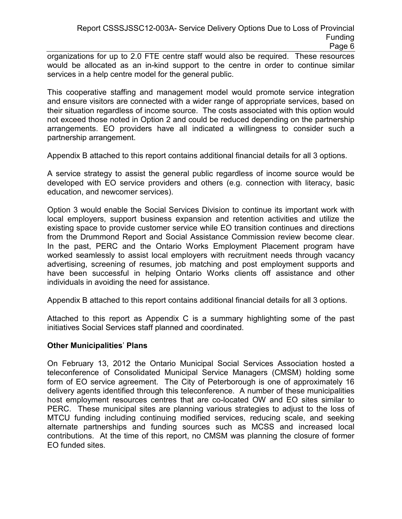organizations for up to 2.0 FTE centre staff would also be required. These resources would be allocated as an in-kind support to the centre in order to continue similar services in a help centre model for the general public.

This cooperative staffing and management model would promote service integration and ensure visitors are connected with a wider range of appropriate services, based on their situation regardless of income source. The costs associated with this option would not exceed those noted in Option 2 and could be reduced depending on the partnership arrangements. EO providers have all indicated a willingness to consider such a partnership arrangement.

Appendix B attached to this report contains additional financial details for all 3 options.

A service strategy to assist the general public regardless of income source would be developed with EO service providers and others (e.g. connection with literacy, basic education, and newcomer services).

Option 3 would enable the Social Services Division to continue its important work with local employers, support business expansion and retention activities and utilize the existing space to provide customer service while EO transition continues and directions from the Drummond Report and Social Assistance Commission review become clear. In the past, PERC and the Ontario Works Employment Placement program have worked seamlessly to assist local employers with recruitment needs through vacancy advertising, screening of resumes, job matching and post employment supports and have been successful in helping Ontario Works clients off assistance and other individuals in avoiding the need for assistance.

Appendix B attached to this report contains additional financial details for all 3 options.

Attached to this report as Appendix C is a summary highlighting some of the past initiatives Social Services staff planned and coordinated.

#### **Other Municipalities**' **Plans**

On February 13, 2012 the Ontario Municipal Social Services Association hosted a teleconference of Consolidated Municipal Service Managers (CMSM) holding some form of EO service agreement. The City of Peterborough is one of approximately 16 delivery agents identified through this teleconference. A number of these municipalities host employment resources centres that are co-located OW and EO sites similar to PERC. These municipal sites are planning various strategies to adjust to the loss of MTCU funding including continuing modified services, reducing scale, and seeking alternate partnerships and funding sources such as MCSS and increased local contributions. At the time of this report, no CMSM was planning the closure of former EO funded sites.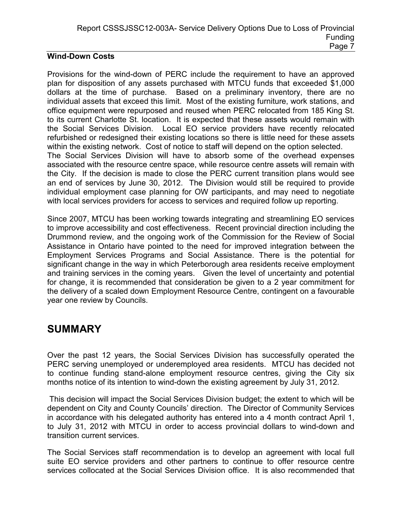## **Wind-Down Costs**

Provisions for the wind-down of PERC include the requirement to have an approved plan for disposition of any assets purchased with MTCU funds that exceeded \$1,000 dollars at the time of purchase. Based on a preliminary inventory, there are no individual assets that exceed this limit. Most of the existing furniture, work stations, and office equipment were repurposed and reused when PERC relocated from 185 King St. to its current Charlotte St. location. It is expected that these assets would remain with the Social Services Division. Local EO service providers have recently relocated refurbished or redesigned their existing locations so there is little need for these assets within the existing network. Cost of notice to staff will depend on the option selected. The Social Services Division will have to absorb some of the overhead expenses associated with the resource centre space, while resource centre assets will remain with the City. If the decision is made to close the PERC current transition plans would see an end of services by June 30, 2012. The Division would still be required to provide individual employment case planning for OW participants, and may need to negotiate with local services providers for access to services and required follow up reporting.

Since 2007, MTCU has been working towards integrating and streamlining EO services to improve accessibility and cost effectiveness. Recent provincial direction including the Drummond review, and the ongoing work of the Commission for the Review of Social Assistance in Ontario have pointed to the need for improved integration between the Employment Services Programs and Social Assistance. There is the potential for significant change in the way in which Peterborough area residents receive employment and training services in the coming years. Given the level of uncertainty and potential for change, it is recommended that consideration be given to a 2 year commitment for the delivery of a scaled down Employment Resource Centre, contingent on a favourable year one review by Councils.

## **SUMMARY**

Over the past 12 years, the Social Services Division has successfully operated the PERC serving unemployed or underemployed area residents. MTCU has decided not to continue funding stand-alone employment resource centres, giving the City six months notice of its intention to wind-down the existing agreement by July 31, 2012.

 This decision will impact the Social Services Division budget; the extent to which will be dependent on City and County Councils' direction. The Director of Community Services in accordance with his delegated authority has entered into a 4 month contract April 1, to July 31, 2012 with MTCU in order to access provincial dollars to wind-down and transition current services.

The Social Services staff recommendation is to develop an agreement with local full suite EO service providers and other partners to continue to offer resource centre services collocated at the Social Services Division office. It is also recommended that